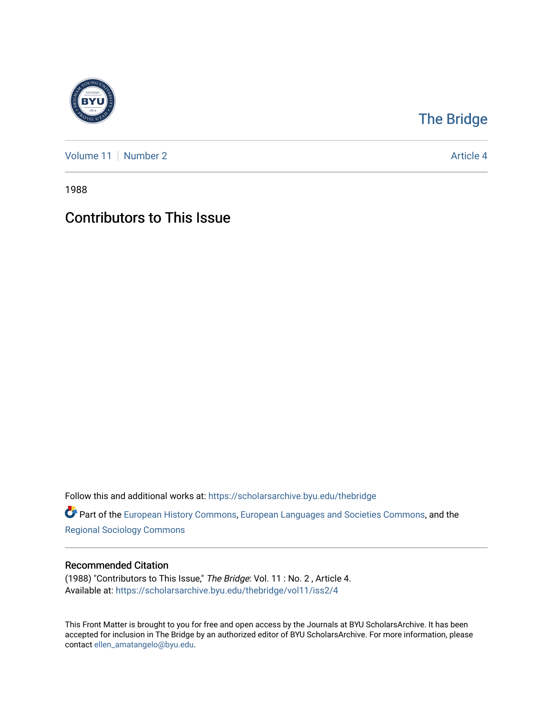

## [The Bridge](https://scholarsarchive.byu.edu/thebridge)

[Volume 11](https://scholarsarchive.byu.edu/thebridge/vol11) [Number 2](https://scholarsarchive.byu.edu/thebridge/vol11/iss2) Article 4

1988

## Contributors to This Issue

Follow this and additional works at: [https://scholarsarchive.byu.edu/thebridge](https://scholarsarchive.byu.edu/thebridge?utm_source=scholarsarchive.byu.edu%2Fthebridge%2Fvol11%2Fiss2%2F4&utm_medium=PDF&utm_campaign=PDFCoverPages) 

**Part of the [European History Commons](http://network.bepress.com/hgg/discipline/492?utm_source=scholarsarchive.byu.edu%2Fthebridge%2Fvol11%2Fiss2%2F4&utm_medium=PDF&utm_campaign=PDFCoverPages), [European Languages and Societies Commons,](http://network.bepress.com/hgg/discipline/482?utm_source=scholarsarchive.byu.edu%2Fthebridge%2Fvol11%2Fiss2%2F4&utm_medium=PDF&utm_campaign=PDFCoverPages) and the** [Regional Sociology Commons](http://network.bepress.com/hgg/discipline/427?utm_source=scholarsarchive.byu.edu%2Fthebridge%2Fvol11%2Fiss2%2F4&utm_medium=PDF&utm_campaign=PDFCoverPages) 

## Recommended Citation

(1988) "Contributors to This Issue," The Bridge: Vol. 11 : No. 2 , Article 4. Available at: [https://scholarsarchive.byu.edu/thebridge/vol11/iss2/4](https://scholarsarchive.byu.edu/thebridge/vol11/iss2/4?utm_source=scholarsarchive.byu.edu%2Fthebridge%2Fvol11%2Fiss2%2F4&utm_medium=PDF&utm_campaign=PDFCoverPages) 

This Front Matter is brought to you for free and open access by the Journals at BYU ScholarsArchive. It has been accepted for inclusion in The Bridge by an authorized editor of BYU ScholarsArchive. For more information, please contact [ellen\\_amatangelo@byu.edu.](mailto:ellen_amatangelo@byu.edu)